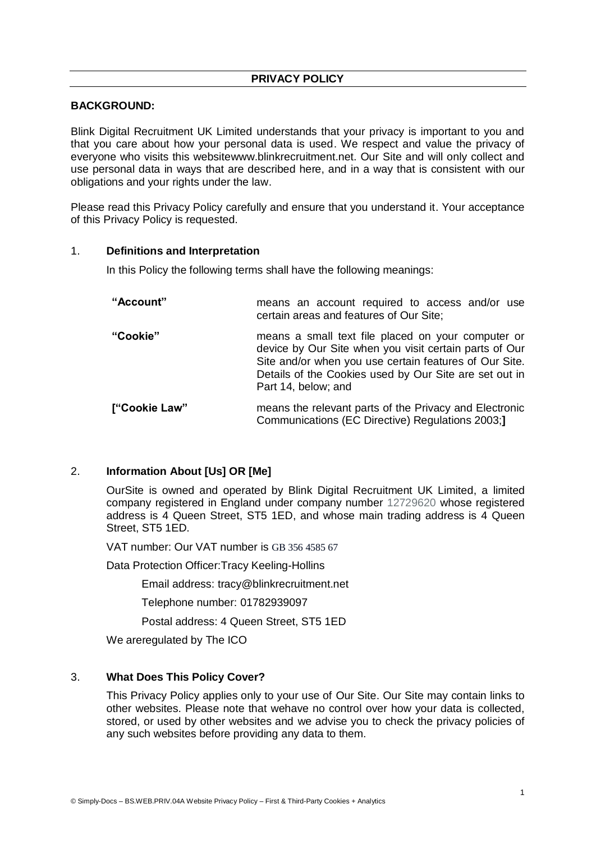# **BACKGROUND:**

Blink Digital Recruitment UK Limited understands that your privacy is important to you and that you care about how your personal data is used. We respect and value the privacy of everyone who visits this websitewww.blinkrecruitment.net. Our Site and will only collect and use personal data in ways that are described here, and in a way that is consistent with our obligations and your rights under the law.

Please read this Privacy Policy carefully and ensure that you understand it. Your acceptance of this Privacy Policy is requested.

#### 1. **Definitions and Interpretation**

In this Policy the following terms shall have the following meanings:

| "Account"     | means an account required to access and/or use<br>certain areas and features of Our Site;                                                                                                                                                               |
|---------------|---------------------------------------------------------------------------------------------------------------------------------------------------------------------------------------------------------------------------------------------------------|
| "Cookie"      | means a small text file placed on your computer or<br>device by Our Site when you visit certain parts of Our<br>Site and/or when you use certain features of Our Site.<br>Details of the Cookies used by Our Site are set out in<br>Part 14, below; and |
| ["Cookie Law" | means the relevant parts of the Privacy and Electronic<br>Communications (EC Directive) Regulations 2003;                                                                                                                                               |

#### 2. **Information About [Us] OR [Me]**

OurSite is owned and operated by Blink Digital Recruitment UK Limited, a limited company registered in England under company number 12729620 whose registered address is 4 Queen Street, ST5 1ED, and whose main trading address is 4 Queen Street, ST5 1ED.

VAT number: Our VAT number is GB 356 4585 67

Data Protection Officer:Tracy Keeling-Hollins

Email address: tracy@blinkrecruitment.net

Telephone number: 01782939097

Postal address: 4 Queen Street, ST5 1ED

We areregulated by The ICO

#### 3. **What Does This Policy Cover?**

This Privacy Policy applies only to your use of Our Site. Our Site may contain links to other websites. Please note that wehave no control over how your data is collected, stored, or used by other websites and we advise you to check the privacy policies of any such websites before providing any data to them.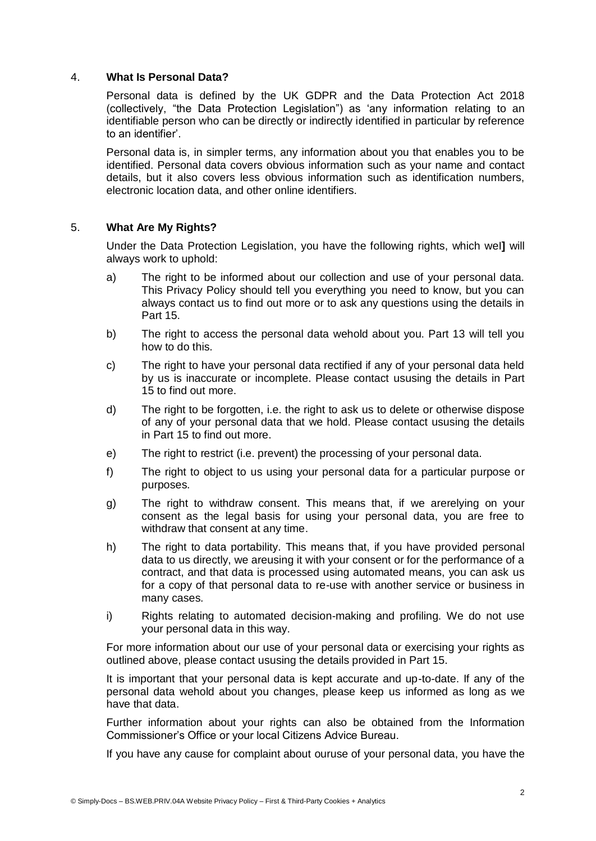#### 4. **What Is Personal Data?**

Personal data is defined by the UK GDPR and the Data Protection Act 2018 (collectively, "the Data Protection Legislation") as 'any information relating to an identifiable person who can be directly or indirectly identified in particular by reference to an identifier'.

Personal data is, in simpler terms, any information about you that enables you to be identified. Personal data covers obvious information such as your name and contact details, but it also covers less obvious information such as identification numbers, electronic location data, and other online identifiers.

#### 5. **What Are My Rights?**

Under the Data Protection Legislation, you have the following rights, which weI**]** will always work to uphold:

- a) The right to be informed about our collection and use of your personal data. This Privacy Policy should tell you everything you need to know, but you can always contact us to find out more or to ask any questions using the details in Part 15.
- b) The right to access the personal data wehold about you. Part 13 will tell you how to do this.
- c) The right to have your personal data rectified if any of your personal data held by us is inaccurate or incomplete. Please contact ususing the details in Part 15 to find out more.
- d) The right to be forgotten, i.e. the right to ask us to delete or otherwise dispose of any of your personal data that we hold. Please contact ususing the details in Part 15 to find out more.
- e) The right to restrict (i.e. prevent) the processing of your personal data.
- f) The right to object to us using your personal data for a particular purpose or purposes.
- g) The right to withdraw consent. This means that, if we arerelying on your consent as the legal basis for using your personal data, you are free to withdraw that consent at any time.
- h) The right to data portability. This means that, if you have provided personal data to us directly, we areusing it with your consent or for the performance of a contract, and that data is processed using automated means, you can ask us for a copy of that personal data to re-use with another service or business in many cases.
- i) Rights relating to automated decision-making and profiling. We do not use your personal data in this way.

For more information about our use of your personal data or exercising your rights as outlined above, please contact ususing the details provided in Part 15.

It is important that your personal data is kept accurate and up-to-date. If any of the personal data wehold about you changes, please keep us informed as long as we have that data.

Further information about your rights can also be obtained from the Information Commissioner's Office or your local Citizens Advice Bureau.

If you have any cause for complaint about ouruse of your personal data, you have the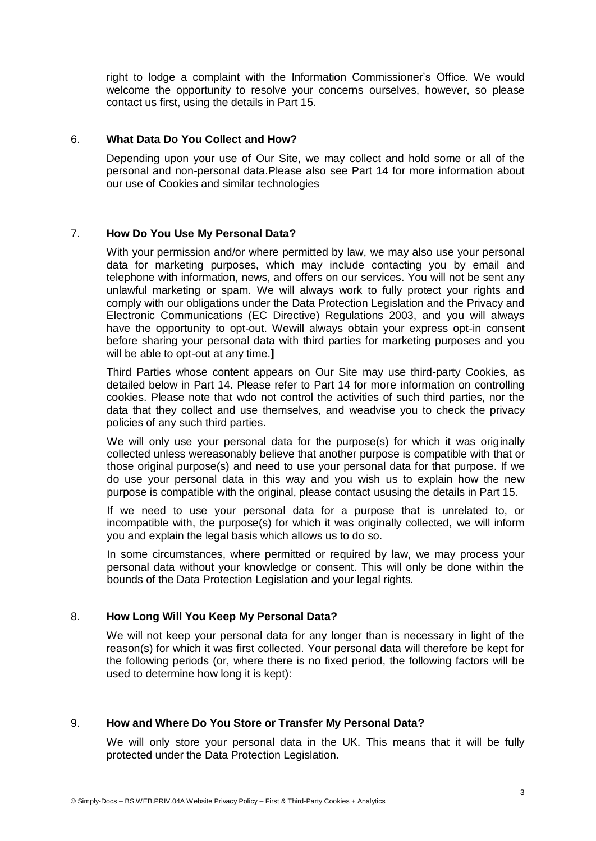right to lodge a complaint with the Information Commissioner's Office. We would welcome the opportunity to resolve your concerns ourselves, however, so please contact us first, using the details in Part 15.

#### 6. **What Data Do You Collect and How?**

Depending upon your use of Our Site, we may collect and hold some or all of the personal and non-personal data.Please also see Part 14 for more information about our use of Cookies and similar technologies

# 7. **How Do You Use My Personal Data?**

With your permission and/or where permitted by law, we may also use your personal data for marketing purposes, which may include contacting you by email and telephone with information, news, and offers on our services. You will not be sent any unlawful marketing or spam. We will always work to fully protect your rights and comply with our obligations under the Data Protection Legislation and the Privacy and Electronic Communications (EC Directive) Regulations 2003, and you will always have the opportunity to opt-out. Wewill always obtain your express opt-in consent before sharing your personal data with third parties for marketing purposes and you will be able to opt-out at any time.**]**

Third Parties whose content appears on Our Site may use third-party Cookies, as detailed below in Part 14. Please refer to Part 14 for more information on controlling cookies. Please note that wdo not control the activities of such third parties, nor the data that they collect and use themselves, and weadvise you to check the privacy policies of any such third parties.

We will only use your personal data for the purpose(s) for which it was originally collected unless wereasonably believe that another purpose is compatible with that or those original purpose(s) and need to use your personal data for that purpose. If we do use your personal data in this way and you wish us to explain how the new purpose is compatible with the original, please contact ususing the details in Part 15.

If we need to use your personal data for a purpose that is unrelated to, or incompatible with, the purpose(s) for which it was originally collected, we will inform you and explain the legal basis which allows us to do so.

In some circumstances, where permitted or required by law, we may process your personal data without your knowledge or consent. This will only be done within the bounds of the Data Protection Legislation and your legal rights.

# 8. **How Long Will You Keep My Personal Data?**

We will not keep your personal data for any longer than is necessary in light of the reason(s) for which it was first collected. Your personal data will therefore be kept for the following periods (or, where there is no fixed period, the following factors will be used to determine how long it is kept):

# 9. **How and Where Do You Store or Transfer My Personal Data?**

We will only store your personal data in the UK. This means that it will be fully protected under the Data Protection Legislation.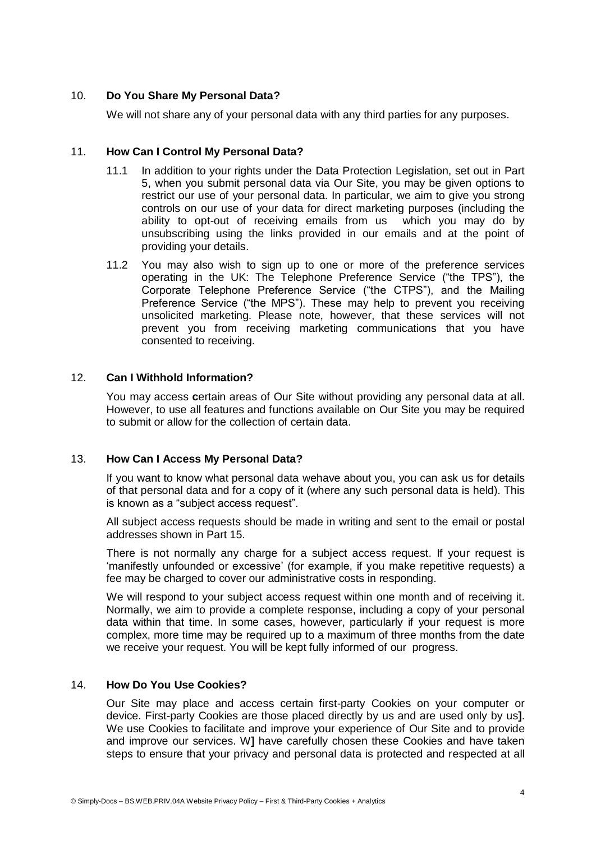# 10. **Do You Share My Personal Data?**

We will not share any of your personal data with any third parties for any purposes.

# 11. **How Can I Control My Personal Data?**

- 11.1 In addition to your rights under the Data Protection Legislation, set out in Part 5, when you submit personal data via Our Site, you may be given options to restrict our use of your personal data. In particular, we aim to give you strong controls on our use of your data for direct marketing purposes (including the ability to opt-out of receiving emails from us which you may do by unsubscribing using the links provided in our emails and at the point of providing your details.
- 11.2 You may also wish to sign up to one or more of the preference services operating in the UK: The Telephone Preference Service ("the TPS"), the Corporate Telephone Preference Service ("the CTPS"), and the Mailing Preference Service ("the MPS"). These may help to prevent you receiving unsolicited marketing. Please note, however, that these services will not prevent you from receiving marketing communications that you have consented to receiving.

# 12. **Can I Withhold Information?**

You may access **c**ertain areas of Our Site without providing any personal data at all. However, to use all features and functions available on Our Site you may be required to submit or allow for the collection of certain data.

# 13. **How Can I Access My Personal Data?**

If you want to know what personal data wehave about you, you can ask us for details of that personal data and for a copy of it (where any such personal data is held). This is known as a "subject access request".

All subject access requests should be made in writing and sent to the email or postal addresses shown in Part 15.

There is not normally any charge for a subject access request. If your request is 'manifestly unfounded or excessive' (for example, if you make repetitive requests) a fee may be charged to cover our administrative costs in responding.

We will respond to your subject access request within one month and of receiving it. Normally, we aim to provide a complete response, including a copy of your personal data within that time. In some cases, however, particularly if your request is more complex, more time may be required up to a maximum of three months from the date we receive your request. You will be kept fully informed of our progress.

## 14. **How Do You Use Cookies?**

Our Site may place and access certain first-party Cookies on your computer or device. First-party Cookies are those placed directly by us and are used only by us**]**. We use Cookies to facilitate and improve your experience of Our Site and to provide and improve our services. W**]** have carefully chosen these Cookies and have taken steps to ensure that your privacy and personal data is protected and respected at all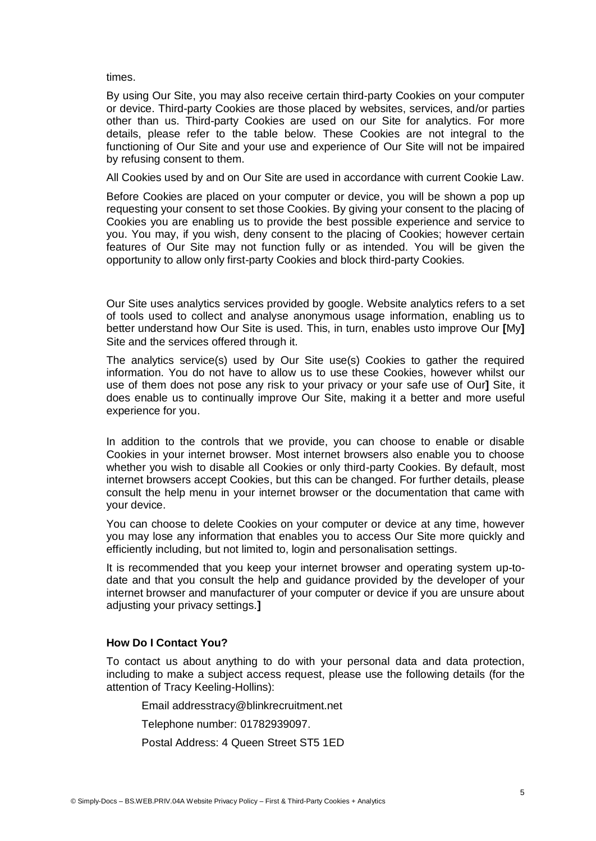times.

By using Our Site, you may also receive certain third-party Cookies on your computer or device. Third-party Cookies are those placed by websites, services, and/or parties other than us. Third-party Cookies are used on our Site for analytics. For more details, please refer to the table below. These Cookies are not integral to the functioning of Our Site and your use and experience of Our Site will not be impaired by refusing consent to them.

All Cookies used by and on Our Site are used in accordance with current Cookie Law.

Before Cookies are placed on your computer or device, you will be shown a pop up requesting your consent to set those Cookies. By giving your consent to the placing of Cookies you are enabling us to provide the best possible experience and service to you. You may, if you wish, deny consent to the placing of Cookies; however certain features of Our Site may not function fully or as intended. You will be given the opportunity to allow only first-party Cookies and block third-party Cookies.

Our Site uses analytics services provided by google. Website analytics refers to a set of tools used to collect and analyse anonymous usage information, enabling us to better understand how Our Site is used. This, in turn, enables usto improve Our **[**My**]** Site and the services offered through it.

The analytics service(s) used by Our Site use(s) Cookies to gather the required information. You do not have to allow us to use these Cookies, however whilst our use of them does not pose any risk to your privacy or your safe use of Our**]** Site, it does enable us to continually improve Our Site, making it a better and more useful experience for you.

In addition to the controls that we provide, you can choose to enable or disable Cookies in your internet browser. Most internet browsers also enable you to choose whether you wish to disable all Cookies or only third-party Cookies. By default, most internet browsers accept Cookies, but this can be changed. For further details, please consult the help menu in your internet browser or the documentation that came with your device.

You can choose to delete Cookies on your computer or device at any time, however you may lose any information that enables you to access Our Site more quickly and efficiently including, but not limited to, login and personalisation settings.

It is recommended that you keep your internet browser and operating system up-todate and that you consult the help and guidance provided by the developer of your internet browser and manufacturer of your computer or device if you are unsure about adjusting your privacy settings.**]**

# **How Do I Contact You?**

To contact us about anything to do with your personal data and data protection, including to make a subject access request, please use the following details (for the attention of Tracy Keeling-Hollins):

Email addresstracy@blinkrecruitment.net

Telephone number: 01782939097.

Postal Address: 4 Queen Street ST5 1ED